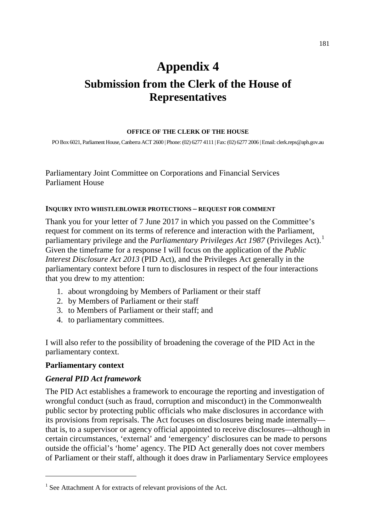# **Appendix 4**

## **Submission from the Clerk of the House of Representatives**

#### **OFFICE OF THE CLERK OF THE HOUSE**

PO Box 6021, Parliament House, Canberra ACT 2600 | Phone: (02) 6277 4111 | Fax: (02) 6277 2006 | Email: clerk.reps@aph.gov.au

Parliamentary Joint Committee on Corporations and Financial Services Parliament House

#### **INQUIRY INTO WHISTLEBLOWER PROTECTIONS – REQUEST FOR COMMENT**

Thank you for your letter of 7 June 2017 in which you passed on the Committee's request for comment on its terms of reference and interaction with the Parliament, parliamentary privilege and the *Parliamentary Privileges Act [1](#page-0-0)987* (Privileges Act).<sup>1</sup> Given the timeframe for a response I will focus on the application of the *Public Interest Disclosure Act 2013* (PID Act), and the Privileges Act generally in the parliamentary context before I turn to disclosures in respect of the four interactions that you drew to my attention:

- 1. about wrongdoing by Members of Parliament or their staff
- 2. by Members of Parliament or their staff
- 3. to Members of Parliament or their staff; and
- 4. to parliamentary committees.

I will also refer to the possibility of broadening the coverage of the PID Act in the parliamentary context.

#### **Parliamentary context**

-

#### *General PID Act framework*

The PID Act establishes a framework to encourage the reporting and investigation of wrongful conduct (such as fraud, corruption and misconduct) in the Commonwealth public sector by protecting public officials who make disclosures in accordance with its provisions from reprisals. The Act focuses on disclosures being made internally that is, to a supervisor or agency official appointed to receive disclosures—although in certain circumstances, 'external' and 'emergency' disclosures can be made to persons outside the official's 'home' agency. The PID Act generally does not cover members of Parliament or their staff, although it does draw in Parliamentary Service employees

<span id="page-0-0"></span><sup>&</sup>lt;sup>1</sup> See Attachment A for extracts of relevant provisions of the Act.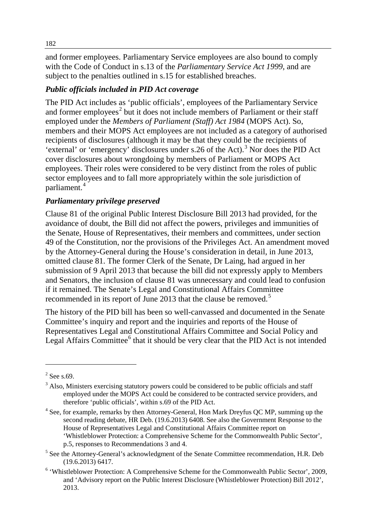and former employees. Parliamentary Service employees are also bound to comply with the Code of Conduct in s.13 of the *Parliamentary Service Act 1999*, and are subject to the penalties outlined in s.15 for established breaches.

## *Public officials included in PID Act coverage*

The PID Act includes as 'public officials', employees of the Parliamentary Service and former employees<sup>[2](#page-1-0)</sup> but it does not include members of Parliament or their staff employed under the *Members of Parliament (Staff) Act 1984* (MOPS Act). So, members and their MOPS Act employees are not included as a category of authorised recipients of disclosures (although it may be that they could be the recipients of 'external' or 'emergency' disclosures under s.26 of the Act).<sup>[3](#page-1-1)</sup> Nor does the PID Act cover disclosures about wrongdoing by members of Parliament or MOPS Act employees. Their roles were considered to be very distinct from the roles of public sector employees and to fall more appropriately within the sole jurisdiction of parliament.[4](#page-1-2)

## *Parliamentary privilege preserved*

Clause 81 of the original Public Interest Disclosure Bill 2013 had provided, for the avoidance of doubt, the Bill did not affect the powers, privileges and immunities of the Senate, House of Representatives, their members and committees, under section 49 of the Constitution, nor the provisions of the Privileges Act. An amendment moved by the Attorney-General during the House's consideration in detail, in June 2013, omitted clause 81. The former Clerk of the Senate, Dr Laing, had argued in her submission of 9 April 2013 that because the bill did not expressly apply to Members and Senators, the inclusion of clause 81 was unnecessary and could lead to confusion if it remained. The Senate's Legal and Constitutional Affairs Committee recommended in its report of June 2013 that the clause be removed.<sup>[5](#page-1-3)</sup>

The history of the PID bill has been so well-canvassed and documented in the Senate Committee's inquiry and report and the inquiries and reports of the House of Representatives Legal and Constitutional Affairs Committee and Social Policy and Legal Affairs Committee<sup> $6$ </sup> that it should be very clear that the PID Act is not intended

<span id="page-1-0"></span> $2$  See s.69.

<span id="page-1-1"></span><sup>&</sup>lt;sup>3</sup> Also, Ministers exercising statutory powers could be considered to be public officials and staff employed under the MOPS Act could be considered to be contracted service providers, and therefore 'public officials', within s.69 of the PID Act.

<span id="page-1-2"></span><sup>&</sup>lt;sup>4</sup> See, for example, remarks by then Attorney-General, Hon Mark Dreyfus QC MP, summing up the second reading debate, HR Deb. (19.6.2013) 6408. See also the Government Response to the House of Representatives Legal and Constitutional Affairs Committee report on 'Whistleblower Protection: a Comprehensive Scheme for the Commonwealth Public Sector', p.5, responses to Recommendations 3 and 4.

<span id="page-1-3"></span><sup>&</sup>lt;sup>5</sup> See the Attorney-General's acknowledgment of the Senate Committee recommendation, H.R. Deb (19.6.2013) 6417.

<span id="page-1-4"></span><sup>&</sup>lt;sup>6</sup> 'Whistleblower Protection: A Comprehensive Scheme for the Commonwealth Public Sector', 2009, and 'Advisory report on the Public Interest Disclosure (Whistleblower Protection) Bill 2012', 2013.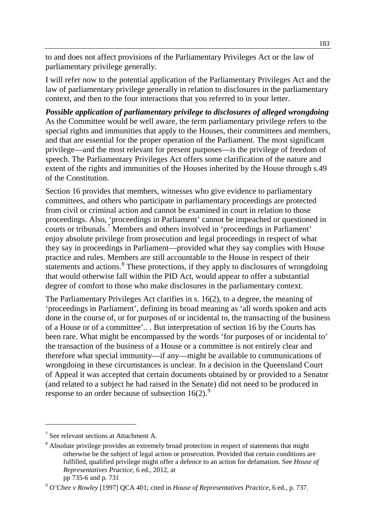to and does not affect provisions of the Parliamentary Privileges Act or the law of parliamentary privilege generally.

I will refer now to the potential application of the Parliamentary Privileges Act and the law of parliamentary privilege generally in relation to disclosures in the parliamentary context, and then to the four interactions that you referred to in your letter.

*Possible application of parliamentary privilege to disclosures of alleged wrongdoing* As the Committee would be well aware, the term parliamentary privilege refers to the special rights and immunities that apply to the Houses, their committees and members, and that are essential for the proper operation of the Parliament. The most significant privilege—and the most relevant for present purposes—is the privilege of freedom of speech. The Parliamentary Privileges Act offers some clarification of the nature and extent of the rights and immunities of the Houses inherited by the House through s.49 of the Constitution.

Section 16 provides that members, witnesses who give evidence to parliamentary committees, and others who participate in parliamentary proceedings are protected from civil or criminal action and cannot be examined in court in relation to those proceedings. Also, 'proceedings in Parliament' cannot be impeached or questioned in courts or tribunals.<sup>[7](#page-2-0)</sup> Members and others involved in 'proceedings in Parliament' enjoy absolute privilege from prosecution and legal proceedings in respect of what they say in proceedings in Parliament—provided what they say complies with House practice and rules. Members are still accountable to the House in respect of their statements and actions. $8$  These protections, if they apply to disclosures of wrongdoing that would otherwise fall within the PID Act, would appear to offer a substantial degree of comfort to those who make disclosures in the parliamentary context.

The Parliamentary Privileges Act clarifies in s. 16(2), to a degree, the meaning of 'proceedings in Parliament', defining its broad meaning as 'all words spoken and acts done in the course of, or for purposes of or incidental to, the transacting of the business of a House or of a committee'.. . But interpretation of section 16 by the Courts has been rare. What might be encompassed by the words 'for purposes of or incidental to' the transaction of the business of a House or a committee is not entirely clear and therefore what special immunity—if any—might be available to communications of wrongdoing in these circumstances is unclear. In a decision in the Queensland Court of Appeal it was accepted that certain documents obtained by or provided to a Senator (and related to a subject he had raised in the Senate) did not need to be produced in response to an order because of subsection  $16(2)$ .<sup>[9](#page-2-2)</sup>

<span id="page-2-0"></span><sup>7</sup> See relevant sections at Attachment A.

<span id="page-2-1"></span><sup>&</sup>lt;sup>8</sup> Absolute privilege provides an extremely broad protection in respect of statements that might otherwise be the subject of legal action or prosecution. Provided that certain conditions are fulfilled, qualified privilege might offer a defence to an action for defamation. See *House of Representatives Practice*, 6 ed., 2012, at

pp 735-6 and p. 731

<span id="page-2-2"></span><sup>9</sup> *O'Chee v Rowley* [1997] QCA 401; cited in *House of Representatives Practice*, 6 ed., p. 737.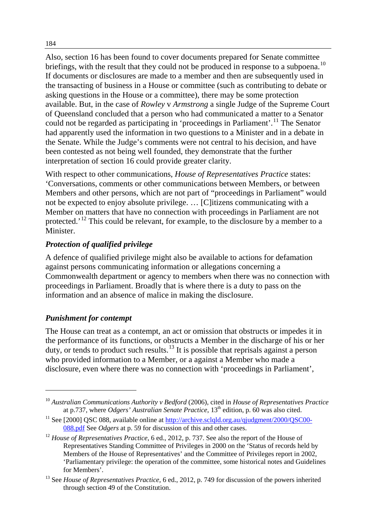Also, section 16 has been found to cover documents prepared for Senate committee briefings, with the result that they could not be produced in response to a subpoena.<sup>[10](#page-3-0)</sup> If documents or disclosures are made to a member and then are subsequently used in the transacting of business in a House or committee (such as contributing to debate or asking questions in the House or a committee), there may be some protection available. But, in the case of *Rowley* v *Armstrong* a single Judge of the Supreme Court of Queensland concluded that a person who had communicated a matter to a Senator could not be regarded as participating in 'proceedings in Parliament'.<sup>[11](#page-3-1)</sup> The Senator had apparently used the information in two questions to a Minister and in a debate in the Senate. While the Judge's comments were not central to his decision, and have been contested as not being well founded, they demonstrate that the further interpretation of section 16 could provide greater clarity.

With respect to other communications, *House of Representatives Practice* states: 'Conversations, comments or other communications between Members, or between Members and other persons, which are not part of "proceedings in Parliament" would not be expected to enjoy absolute privilege. … [C]itizens communicating with a Member on matters that have no connection with proceedings in Parliament are not protected.'[12](#page-3-2) This could be relevant, for example, to the disclosure by a member to a Minister.

#### *Protection of qualified privilege*

A defence of qualified privilege might also be available to actions for defamation against persons communicating information or allegations concerning a Commonwealth department or agency to members when there was no connection with proceedings in Parliament. Broadly that is where there is a duty to pass on the information and an absence of malice in making the disclosure.

#### *Punishment for contempt*

-

The House can treat as a contempt, an act or omission that obstructs or impedes it in the performance of its functions, or obstructs a Member in the discharge of his or her duty, or tends to product such results.<sup>[13](#page-3-3)</sup> It is possible that reprisals against a person who provided information to a Member, or a against a Member who made a disclosure, even where there was no connection with 'proceedings in Parliament',

<span id="page-3-0"></span><sup>10</sup> *Australian Communications Authority v Bedford* (2006), cited in *House of Representatives Practice*  at p.737, where *Odgers' Australian Senate Practice*, 13<sup>th</sup> edition, p. 60 was also cited.

<span id="page-3-1"></span><sup>&</sup>lt;sup>11</sup> See [2000] QSC 088, available online at [http://archive.sclqld.org.au/qjudgment/2000/QSC00-](http://archive.sclqld.org.au/qjudgment/2000/QSC00-088.pdf) [088.pdf](http://archive.sclqld.org.au/qjudgment/2000/QSC00-088.pdf) See *Odgers* at p. 59 for discussion of this and other cases.

<span id="page-3-2"></span><sup>&</sup>lt;sup>12</sup> *House of Representatives Practice*, 6 ed., 2012, p. 737. See also the report of the House of Representatives Standing Committee of Privileges in 2000 on the 'Status of records held by Members of the House of Representatives' and the Committee of Privileges report in 2002, 'Parliamentary privilege: the operation of the committee, some historical notes and Guidelines for Members'.

<span id="page-3-3"></span><sup>&</sup>lt;sup>13</sup> See *House of Representatives Practice*, 6 ed., 2012, p. 749 for discussion of the powers inherited through section 49 of the Constitution.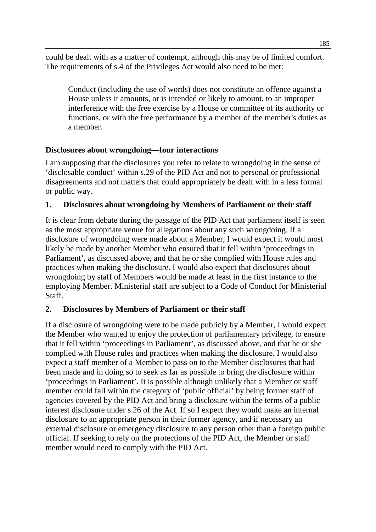could be dealt with as a matter of contempt, although this may be of limited comfort. The requirements of s.4 of the Privileges Act would also need to be met:

Conduct (including the use of words) does not constitute an offence against a House unless it amounts, or is intended or likely to amount, to an improper interference with the free exercise by a House or committee of its authority or functions, or with the free performance by a member of the member's duties as a member.

#### **Disclosures about wrongdoing—four interactions**

I am supposing that the disclosures you refer to relate to wrongdoing in the sense of 'disclosable conduct' within s.29 of the PID Act and not to personal or professional disagreements and not matters that could appropriately be dealt with in a less formal or public way.

#### **1. Disclosures about wrongdoing by Members of Parliament or their staff**

It is clear from debate during the passage of the PID Act that parliament itself is seen as the most appropriate venue for allegations about any such wrongdoing. If a disclosure of wrongdoing were made about a Member, I would expect it would most likely be made by another Member who ensured that it fell within 'proceedings in Parliament', as discussed above, and that he or she complied with House rules and practices when making the disclosure. I would also expect that disclosures about wrongdoing by staff of Members would be made at least in the first instance to the employing Member. Ministerial staff are subject to a Code of Conduct for Ministerial Staff.

#### **2. Disclosures by Members of Parliament or their staff**

If a disclosure of wrongdoing were to be made publicly by a Member, I would expect the Member who wanted to enjoy the protection of parliamentary privilege, to ensure that it fell within 'proceedings in Parliament', as discussed above, and that he or she complied with House rules and practices when making the disclosure. I would also expect a staff member of a Member to pass on to the Member disclosures that had been made and in doing so to seek as far as possible to bring the disclosure within 'proceedings in Parliament'. It is possible although unlikely that a Member or staff member could fall within the category of 'public official' by being former staff of agencies covered by the PID Act and bring a disclosure within the terms of a public interest disclosure under s.26 of the Act. If so I expect they would make an internal disclosure to an appropriate person in their former agency, and if necessary an external disclosure or emergency disclosure to any person other than a foreign public official. If seeking to rely on the protections of the PID Act, the Member or staff member would need to comply with the PID Act.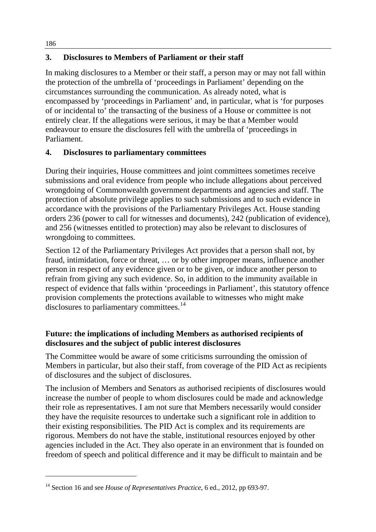## **3. Disclosures to Members of Parliament or their staff**

In making disclosures to a Member or their staff, a person may or may not fall within the protection of the umbrella of 'proceedings in Parliament' depending on the circumstances surrounding the communication. As already noted, what is encompassed by 'proceedings in Parliament' and, in particular, what is 'for purposes of or incidental to' the transacting of the business of a House or committee is not entirely clear. If the allegations were serious, it may be that a Member would endeavour to ensure the disclosures fell with the umbrella of 'proceedings in Parliament.

#### **4. Disclosures to parliamentary committees**

During their inquiries, House committees and joint committees sometimes receive submissions and oral evidence from people who include allegations about perceived wrongdoing of Commonwealth government departments and agencies and staff. The protection of absolute privilege applies to such submissions and to such evidence in accordance with the provisions of the Parliamentary Privileges Act. House standing orders 236 (power to call for witnesses and documents), 242 (publication of evidence), and 256 (witnesses entitled to protection) may also be relevant to disclosures of wrongdoing to committees.

Section 12 of the Parliamentary Privileges Act provides that a person shall not, by fraud, intimidation, force or threat, … or by other improper means, influence another person in respect of any evidence given or to be given, or induce another person to refrain from giving any such evidence. So, in addition to the immunity available in respect of evidence that falls within 'proceedings in Parliament', this statutory offence provision complements the protections available to witnesses who might make disclosures to parliamentary committees.<sup>[14](#page-5-0)</sup>

## **Future: the implications of including Members as authorised recipients of disclosures and the subject of public interest disclosures**

The Committee would be aware of some criticisms surrounding the omission of Members in particular, but also their staff, from coverage of the PID Act as recipients of disclosures and the subject of disclosures.

The inclusion of Members and Senators as authorised recipients of disclosures would increase the number of people to whom disclosures could be made and acknowledge their role as representatives. I am not sure that Members necessarily would consider they have the requisite resources to undertake such a significant role in addition to their existing responsibilities. The PID Act is complex and its requirements are rigorous. Members do not have the stable, institutional resources enjoyed by other agencies included in the Act. They also operate in an environment that is founded on freedom of speech and political difference and it may be difficult to maintain and be

<span id="page-5-0"></span><sup>14</sup> Section 16 and see *House of Representatives Practice*, 6 ed., 2012, pp 693-97.